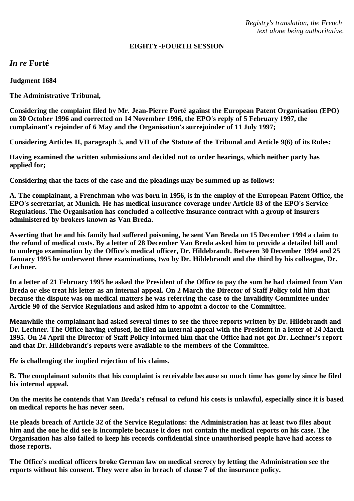*Registry's translation, the French text alone being authoritative.*

#### **EIGHTY-FOURTH SESSION**

*In re* **Forté**

**Judgment 1684**

**The Administrative Tribunal,**

**Considering the complaint filed by Mr. Jean-Pierre Forté against the European Patent Organisation (EPO) on 30 October 1996 and corrected on 14 November 1996, the EPO's reply of 5 February 1997, the complainant's rejoinder of 6 May and the Organisation's surrejoinder of 11 July 1997;**

**Considering Articles II, paragraph 5, and VII of the Statute of the Tribunal and Article 9(6) of its Rules;**

**Having examined the written submissions and decided not to order hearings, which neither party has applied for;**

**Considering that the facts of the case and the pleadings may be summed up as follows:**

**A. The complainant, a Frenchman who was born in 1956, is in the employ of the European Patent Office, the EPO's secretariat, at Munich. He has medical insurance coverage under Article 83 of the EPO's Service Regulations. The Organisation has concluded a collective insurance contract with a group of insurers administered by brokers known as Van Breda.**

**Asserting that he and his family had suffered poisoning, he sent Van Breda on 15 December 1994 a claim to the refund of medical costs. By a letter of 28 December Van Breda asked him to provide a detailed bill and to undergo examination by the Office's medical officer, Dr. Hildebrandt. Between 30 December 1994 and 25 January 1995 he underwent three examinations, two by Dr. Hildebrandt and the third by his colleague, Dr. Lechner.**

**In a letter of 21 February 1995 he asked the President of the Office to pay the sum he had claimed from Van Breda or else treat his letter as an internal appeal. On 2 March the Director of Staff Policy told him that because the dispute was on medical matters he was referring the case to the Invalidity Committee under Article 90 of the Service Regulations and asked him to appoint a doctor to the Committee.**

**Meanwhile the complainant had asked several times to see the three reports written by Dr. Hildebrandt and Dr. Lechner. The Office having refused, he filed an internal appeal with the President in a letter of 24 March 1995. On 24 April the Director of Staff Policy informed him that the Office had not got Dr. Lechner's report and that Dr. Hildebrandt's reports were available to the members of the Committee.**

**He is challenging the implied rejection of his claims.**

**B. The complainant submits that his complaint is receivable because so much time has gone by since he filed his internal appeal.**

**On the merits he contends that Van Breda's refusal to refund his costs is unlawful, especially since it is based on medical reports he has never seen.**

**He pleads breach of Article 32 of the Service Regulations: the Administration has at least two files about him and the one he did see is incomplete because it does not contain the medical reports on his case. The Organisation has also failed to keep his records confidential since unauthorised people have had access to those reports.**

**The Office's medical officers broke German law on medical secrecy by letting the Administration see the reports without his consent. They were also in breach of clause 7 of the insurance policy.**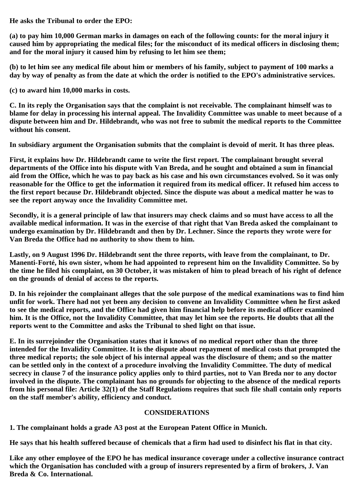**He asks the Tribunal to order the EPO:**

**(a) to pay him 10,000 German marks in damages on each of the following counts: for the moral injury it caused him by appropriating the medical files; for the misconduct of its medical officers in disclosing them; and for the moral injury it caused him by refusing to let him see them;**

**(b) to let him see any medical file about him or members of his family, subject to payment of 100 marks a day by way of penalty as from the date at which the order is notified to the EPO's administrative services.**

**(c) to award him 10,000 marks in costs.**

**C. In its reply the Organisation says that the complaint is not receivable. The complainant himself was to blame for delay in processing his internal appeal. The Invalidity Committee was unable to meet because of a dispute between him and Dr. Hildebrandt, who was not free to submit the medical reports to the Committee without his consent.**

**In subsidiary argument the Organisation submits that the complaint is devoid of merit. It has three pleas.**

**First, it explains how Dr. Hildebrandt came to write the first report. The complainant brought several departments of the Office into his dispute with Van Breda, and he sought and obtained a sum in financial aid from the Office, which he was to pay back as his case and his own circumstances evolved. So it was only reasonable for the Office to get the information it required from its medical officer. It refused him access to the first report because Dr. Hildebrandt objected. Since the dispute was about a medical matter he was to see the report anyway once the Invalidity Committee met.**

**Secondly, it is a general principle of law that insurers may check claims and so must have access to all the available medical information. It was in the exercise of that right that Van Breda asked the complainant to undergo examination by Dr. Hildebrandt and then by Dr. Lechner. Since the reports they wrote were for Van Breda the Office had no authority to show them to him.**

**Lastly, on 9 August 1996 Dr. Hildebrandt sent the three reports, with leave from the complainant, to Dr. Manenti-Forté, his own sister, whom he had appointed to represent him on the Invalidity Committee. So by the time he filed his complaint, on 30 October, it was mistaken of him to plead breach of his right of defence on the grounds of denial of access to the reports.**

**D. In his rejoinder the complainant alleges that the sole purpose of the medical examinations was to find him unfit for work. There had not yet been any decision to convene an Invalidity Committee when he first asked to see the medical reports, and the Office had given him financial help before its medical officer examined him. It is the Office, not the Invalidity Committee, that may let him see the reports. He doubts that all the reports went to the Committee and asks the Tribunal to shed light on that issue.**

**E. In its surrejoinder the Organisation states that it knows of no medical report other than the three intended for the Invalidity Committee. It is the dispute about repayment of medical costs that prompted the three medical reports; the sole object of his internal appeal was the disclosure of them; and so the matter can be settled only in the context of a procedure involving the Invalidity Committee. The duty of medical secrecy in clause 7 of the insurance policy applies only to third parties, not to Van Breda nor to any doctor involved in the dispute. The complainant has no grounds for objecting to the absence of the medical reports from his personal file: Article 32(1) of the Staff Regulations requires that such file shall contain only reports on the staff member's ability, efficiency and conduct.**

### **CONSIDERATIONS**

**1. The complainant holds a grade A3 post at the European Patent Office in Munich.**

**He says that his health suffered because of chemicals that a firm had used to disinfect his flat in that city.**

**Like any other employee of the EPO he has medical insurance coverage under a collective insurance contract which the Organisation has concluded with a group of insurers represented by a firm of brokers, J. Van Breda & Co. International.**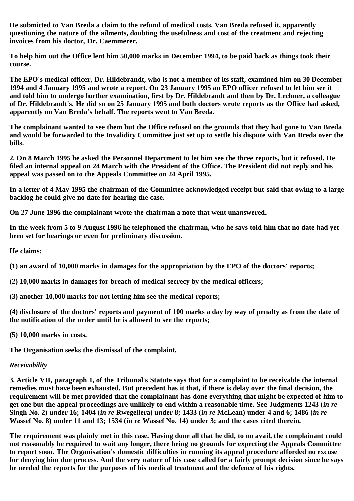**He submitted to Van Breda a claim to the refund of medical costs. Van Breda refused it, apparently questioning the nature of the ailments, doubting the usefulness and cost of the treatment and rejecting invoices from his doctor, Dr. Caemmerer.**

**To help him out the Office lent him 50,000 marks in December 1994, to be paid back as things took their course.**

**The EPO's medical officer, Dr. Hildebrandt, who is not a member of its staff, examined him on 30 December 1994 and 4 January 1995 and wrote a report. On 23 January 1995 an EPO officer refused to let him see it and told him to undergo further examination, first by Dr. Hildebrandt and then by Dr. Lechner, a colleague of Dr. Hildebrandt's. He did so on 25 January 1995 and both doctors wrote reports as the Office had asked, apparently on Van Breda's behalf. The reports went to Van Breda.**

**The complainant wanted to see them but the Office refused on the grounds that they had gone to Van Breda and would be forwarded to the Invalidity Committee just set up to settle his dispute with Van Breda over the bills.**

**2. On 8 March 1995 he asked the Personnel Department to let him see the three reports, but it refused. He filed an internal appeal on 24 March with the President of the Office. The President did not reply and his appeal was passed on to the Appeals Committee on 24 April 1995.**

**In a letter of 4 May 1995 the chairman of the Committee acknowledged receipt but said that owing to a large backlog he could give no date for hearing the case.**

**On 27 June 1996 the complainant wrote the chairman a note that went unanswered.**

**In the week from 5 to 9 August 1996 he telephoned the chairman, who he says told him that no date had yet been set for hearings or even for preliminary discussion.**

**He claims:**

**(1) an award of 10,000 marks in damages for the appropriation by the EPO of the doctors' reports;**

**(2) 10,000 marks in damages for breach of medical secrecy by the medical officers;**

**(3) another 10,000 marks for not letting him see the medical reports;**

**(4) disclosure of the doctors' reports and payment of 100 marks a day by way of penalty as from the date of the notification of the order until he is allowed to see the reports;**

**(5) 10,000 marks in costs.**

**The Organisation seeks the dismissal of the complaint.**

# *Receivability*

**3. Article VII, paragraph 1, of the Tribunal's Statute says that for a complaint to be receivable the internal remedies must have been exhausted. But precedent has it that, if there is delay over the final decision, the requirement will be met provided that the complainant has done everything that might be expected of him to get one but the appeal proceedings are unlikely to end within a reasonable time. See Judgments 1243 (***in re* **Singh No. 2) under 16; 1404 (***in re* **Rwegellera) under 8; 1433 (***in re* **McLean) under 4 and 6; 1486 (***in re* **Wassef No. 8) under 11 and 13; 1534 (***in re* **Wassef No. 14) under 3; and the cases cited therein.**

**The requirement was plainly met in this case. Having done all that he did, to no avail, the complainant could not reasonably be required to wait any longer, there being no grounds for expecting the Appeals Committee to report soon. The Organisation's domestic difficulties in running its appeal procedure afforded no excuse for denying him due process. And the very nature of his case called for a fairly prompt decision since he says he needed the reports for the purposes of his medical treatment and the defence of his rights.**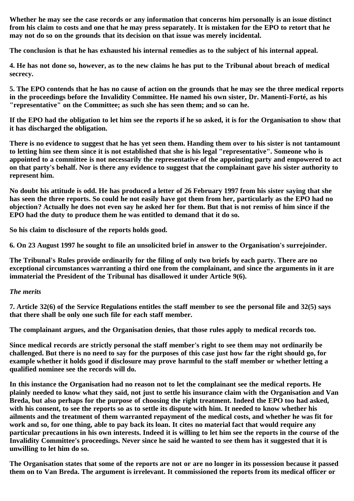**Whether he may see the case records or any information that concerns him personally is an issue distinct from his claim to costs and one that he may press separately. It is mistaken for the EPO to retort that he may not do so on the grounds that its decision on that issue was merely incidental.**

**The conclusion is that he has exhausted his internal remedies as to the subject of his internal appeal.**

**4. He has not done so, however, as to the new claims he has put to the Tribunal about breach of medical secrecy.**

**5. The EPO contends that he has no cause of action on the grounds that he may see the three medical reports in the proceedings before the Invalidity Committee. He named his own sister, Dr. Manenti-Forté, as his "representative" on the Committee; as such she has seen them; and so can he.**

**If the EPO had the obligation to let him see the reports if he so asked, it is for the Organisation to show that it has discharged the obligation.**

**There is no evidence to suggest that he has yet seen them. Handing them over to his sister is not tantamount to letting him see them since it is not established that she is his legal "representative". Someone who is appointed to a committee is not necessarily the representative of the appointing party and empowered to act on that party's behalf. Nor is there any evidence to suggest that the complainant gave his sister authority to represent him.**

**No doubt his attitude is odd. He has produced a letter of 26 February 1997 from his sister saying that she has seen the three reports. So could he not easily have got them from her, particularly as the EPO had no objection? Actually he does not even say he asked her for them. But that is not remiss of him since if the EPO had the duty to produce them he was entitled to demand that it do so.**

**So his claim to disclosure of the reports holds good.**

**6. On 23 August 1997 he sought to file an unsolicited brief in answer to the Organisation's surrejoinder.**

**The Tribunal's Rules provide ordinarily for the filing of only two briefs by each party. There are no exceptional circumstances warranting a third one from the complainant, and since the arguments in it are immaterial the President of the Tribunal has disallowed it under Article 9(6).**

## *The merits*

**7. Article 32(6) of the Service Regulations entitles the staff member to see the personal file and 32(5) says that there shall be only one such file for each staff member.**

**The complainant argues, and the Organisation denies, that those rules apply to medical records too.**

**Since medical records are strictly personal the staff member's right to see them may not ordinarily be challenged. But there is no need to say for the purposes of this case just how far the right should go, for example whether it holds good if disclosure may prove harmful to the staff member or whether letting a qualified nominee see the records will do.**

**In this instance the Organisation had no reason not to let the complainant see the medical reports. He plainly needed to know what they said, not just to settle his insurance claim with the Organisation and Van Breda, but also perhaps for the purpose of choosing the right treatment. Indeed the EPO too had asked, with his consent, to see the reports so as to settle its dispute with him. It needed to know whether his ailments and the treatment of them warranted repayment of the medical costs, and whether he was fit for work and so, for one thing, able to pay back its loan. It cites no material fact that would require any particular precautions in his own interests. Indeed it is willing to let him see the reports in the course of the Invalidity Committee's proceedings. Never since he said he wanted to see them has it suggested that it is unwilling to let him do so.**

**The Organisation states that some of the reports are not or are no longer in its possession because it passed them on to Van Breda. The argument is irrelevant. It commissioned the reports from its medical officer or**